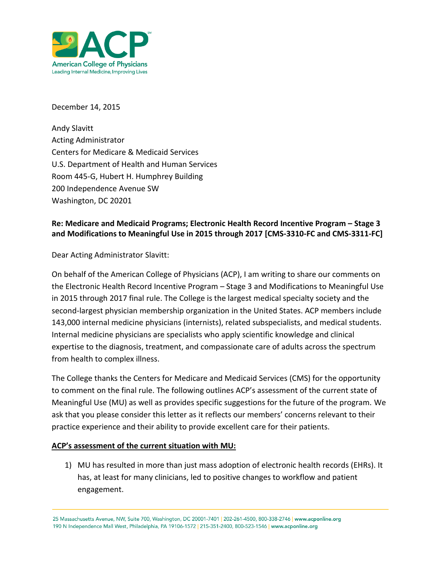

December 14, 2015

Andy Slavitt Acting Administrator Centers for Medicare & Medicaid Services U.S. Department of Health and Human Services Room 445-G, Hubert H. Humphrey Building 200 Independence Avenue SW Washington, DC 20201

## **Re: Medicare and Medicaid Programs; Electronic Health Record Incentive Program – Stage 3 and Modifications to Meaningful Use in 2015 through 2017 [CMS-3310-FC and CMS-3311-FC]**

Dear Acting Administrator Slavitt:

On behalf of the American College of Physicians (ACP), I am writing to share our comments on the Electronic Health Record Incentive Program – Stage 3 and Modifications to Meaningful Use in 2015 through 2017 final rule. The College is the largest medical specialty society and the second-largest physician membership organization in the United States. ACP members include 143,000 internal medicine physicians (internists), related subspecialists, and medical students. Internal medicine physicians are specialists who apply scientific knowledge and clinical expertise to the diagnosis, treatment, and compassionate care of adults across the spectrum from health to complex illness.

The College thanks the Centers for Medicare and Medicaid Services (CMS) for the opportunity to comment on the final rule. The following outlines ACP's assessment of the current state of Meaningful Use (MU) as well as provides specific suggestions for the future of the program. We ask that you please consider this letter as it reflects our members' concerns relevant to their practice experience and their ability to provide excellent care for their patients.

### **ACP's assessment of the current situation with MU:**

1) MU has resulted in more than just mass adoption of electronic health records (EHRs). It has, at least for many clinicians, led to positive changes to workflow and patient engagement.

25 Massachusetts Avenue, NW, Suite 700, Washington, DC 20001-7401 | 202-261-4500, 800-338-2746 | www.acponline.org 190 N Independence Mall West, Philadelphia, PA 19106-1572 | 215-351-2400, 800-523-1546 | www.acponline.org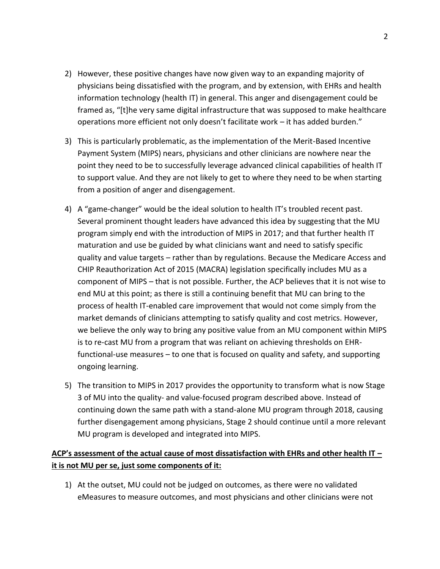- 2) However, these positive changes have now given way to an expanding majority of physicians being dissatisfied with the program, and by extension, with EHRs and health information technology (health IT) in general. This anger and disengagement could be framed as, "[t]he very same digital infrastructure that was supposed to make healthcare operations more efficient not only doesn't facilitate work – it has added burden."
- 3) This is particularly problematic, as the implementation of the Merit-Based Incentive Payment System (MIPS) nears, physicians and other clinicians are nowhere near the point they need to be to successfully leverage advanced clinical capabilities of health IT to support value. And they are not likely to get to where they need to be when starting from a position of anger and disengagement.
- 4) A "game-changer" would be the ideal solution to health IT's troubled recent past. Several prominent thought leaders have advanced this idea by suggesting that the MU program simply end with the introduction of MIPS in 2017; and that further health IT maturation and use be guided by what clinicians want and need to satisfy specific quality and value targets – rather than by regulations. Because the Medicare Access and CHIP Reauthorization Act of 2015 (MACRA) legislation specifically includes MU as a component of MIPS – that is not possible. Further, the ACP believes that it is not wise to end MU at this point; as there is still a continuing benefit that MU can bring to the process of health IT-enabled care improvement that would not come simply from the market demands of clinicians attempting to satisfy quality and cost metrics. However, we believe the only way to bring any positive value from an MU component within MIPS is to re-cast MU from a program that was reliant on achieving thresholds on EHRfunctional-use measures – to one that is focused on quality and safety, and supporting ongoing learning.
- 5) The transition to MIPS in 2017 provides the opportunity to transform what is now Stage 3 of MU into the quality- and value-focused program described above. Instead of continuing down the same path with a stand-alone MU program through 2018, causing further disengagement among physicians, Stage 2 should continue until a more relevant MU program is developed and integrated into MIPS.

## **ACP's assessment of the actual cause of most dissatisfaction with EHRs and other health IT – it is not MU per se, just some components of it:**

1) At the outset, MU could not be judged on outcomes, as there were no validated eMeasures to measure outcomes, and most physicians and other clinicians were not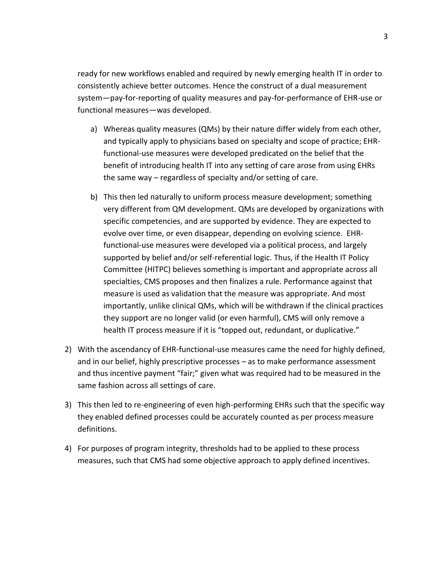ready for new workflows enabled and required by newly emerging health IT in order to consistently achieve better outcomes. Hence the construct of a dual measurement system—pay-for-reporting of quality measures and pay-for-performance of EHR-use or functional measures—was developed.

- a) Whereas quality measures (QMs) by their nature differ widely from each other, and typically apply to physicians based on specialty and scope of practice; EHRfunctional-use measures were developed predicated on the belief that the benefit of introducing health IT into any setting of care arose from using EHRs the same way – regardless of specialty and/or setting of care.
- b) This then led naturally to uniform process measure development; something very different from QM development. QMs are developed by organizations with specific competencies, and are supported by evidence. They are expected to evolve over time, or even disappear, depending on evolving science. EHRfunctional-use measures were developed via a political process, and largely supported by belief and/or self-referential logic. Thus, if the Health IT Policy Committee (HITPC) believes something is important and appropriate across all specialties, CMS proposes and then finalizes a rule. Performance against that measure is used as validation that the measure was appropriate. And most importantly, unlike clinical QMs, which will be withdrawn if the clinical practices they support are no longer valid (or even harmful), CMS will only remove a health IT process measure if it is "topped out, redundant, or duplicative."
- 2) With the ascendancy of EHR-functional-use measures came the need for highly defined, and in our belief, highly prescriptive processes – as to make performance assessment and thus incentive payment "fair;" given what was required had to be measured in the same fashion across all settings of care.
- 3) This then led to re-engineering of even high-performing EHRs such that the specific way they enabled defined processes could be accurately counted as per process measure definitions.
- 4) For purposes of program integrity, thresholds had to be applied to these process measures, such that CMS had some objective approach to apply defined incentives.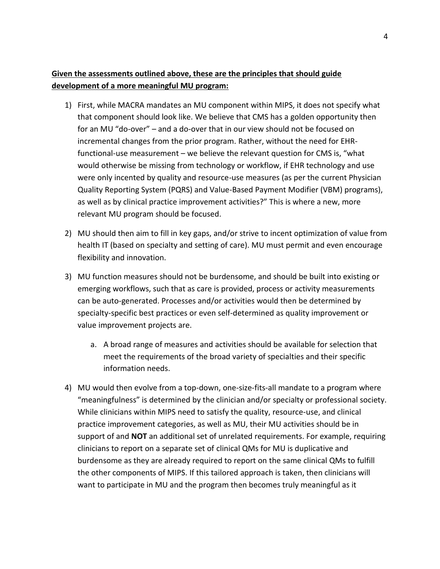## **Given the assessments outlined above, these are the principles that should guide development of a more meaningful MU program:**

- 1) First, while MACRA mandates an MU component within MIPS, it does not specify what that component should look like. We believe that CMS has a golden opportunity then for an MU "do-over" – and a do-over that in our view should not be focused on incremental changes from the prior program. Rather, without the need for EHRfunctional-use measurement – we believe the relevant question for CMS is, "what would otherwise be missing from technology or workflow, if EHR technology and use were only incented by quality and resource-use measures (as per the current Physician Quality Reporting System (PQRS) and Value-Based Payment Modifier (VBM) programs), as well as by clinical practice improvement activities?" This is where a new, more relevant MU program should be focused.
- 2) MU should then aim to fill in key gaps, and/or strive to incent optimization of value from health IT (based on specialty and setting of care). MU must permit and even encourage flexibility and innovation.
- 3) MU function measures should not be burdensome, and should be built into existing or emerging workflows, such that as care is provided, process or activity measurements can be auto-generated. Processes and/or activities would then be determined by specialty-specific best practices or even self-determined as quality improvement or value improvement projects are.
	- a. A broad range of measures and activities should be available for selection that meet the requirements of the broad variety of specialties and their specific information needs.
- 4) MU would then evolve from a top-down, one-size-fits-all mandate to a program where "meaningfulness" is determined by the clinician and/or specialty or professional society. While clinicians within MIPS need to satisfy the quality, resource-use, and clinical practice improvement categories, as well as MU, their MU activities should be in support of and **NOT** an additional set of unrelated requirements. For example, requiring clinicians to report on a separate set of clinical QMs for MU is duplicative and burdensome as they are already required to report on the same clinical QMs to fulfill the other components of MIPS. If this tailored approach is taken, then clinicians will want to participate in MU and the program then becomes truly meaningful as it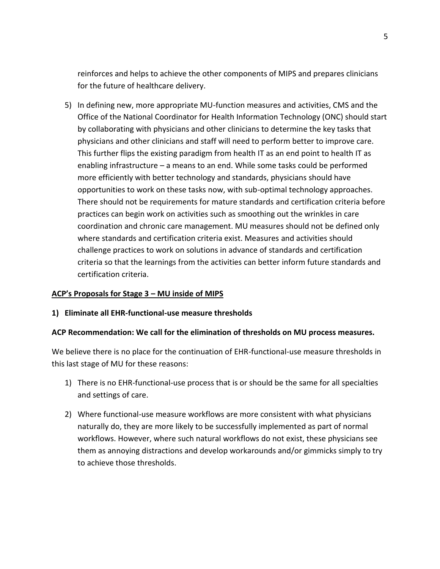reinforces and helps to achieve the other components of MIPS and prepares clinicians for the future of healthcare delivery.

5) In defining new, more appropriate MU-function measures and activities, CMS and the Office of the National Coordinator for Health Information Technology (ONC) should start by collaborating with physicians and other clinicians to determine the key tasks that physicians and other clinicians and staff will need to perform better to improve care. This further flips the existing paradigm from health IT as an end point to health IT as enabling infrastructure – a means to an end. While some tasks could be performed more efficiently with better technology and standards, physicians should have opportunities to work on these tasks now, with sub-optimal technology approaches. There should not be requirements for mature standards and certification criteria before practices can begin work on activities such as smoothing out the wrinkles in care coordination and chronic care management. MU measures should not be defined only where standards and certification criteria exist. Measures and activities should challenge practices to work on solutions in advance of standards and certification criteria so that the learnings from the activities can better inform future standards and certification criteria.

### **ACP's Proposals for Stage 3 – MU inside of MIPS**

### **1) Eliminate all EHR-functional-use measure thresholds**

#### **ACP Recommendation: We call for the elimination of thresholds on MU process measures.**

We believe there is no place for the continuation of EHR-functional-use measure thresholds in this last stage of MU for these reasons:

- 1) There is no EHR-functional-use process that is or should be the same for all specialties and settings of care.
- 2) Where functional-use measure workflows are more consistent with what physicians naturally do, they are more likely to be successfully implemented as part of normal workflows. However, where such natural workflows do not exist, these physicians see them as annoying distractions and develop workarounds and/or gimmicks simply to try to achieve those thresholds.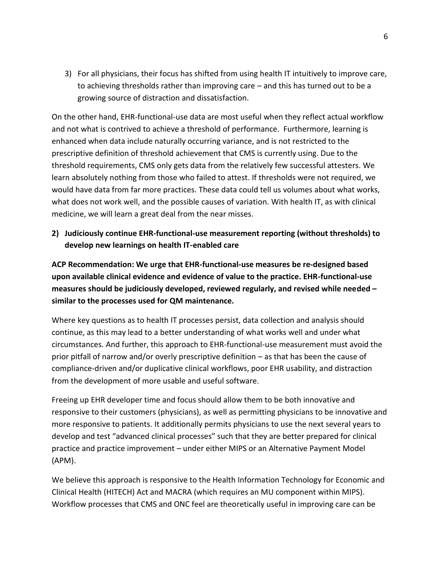3) For all physicians, their focus has shifted from using health IT intuitively to improve care, to achieving thresholds rather than improving care – and this has turned out to be a growing source of distraction and dissatisfaction.

On the other hand, EHR-functional-use data are most useful when they reflect actual workflow and not what is contrived to achieve a threshold of performance. Furthermore, learning is enhanced when data include naturally occurring variance, and is not restricted to the prescriptive definition of threshold achievement that CMS is currently using. Due to the threshold requirements, CMS only gets data from the relatively few successful attesters. We learn absolutely nothing from those who failed to attest. If thresholds were not required, we would have data from far more practices. These data could tell us volumes about what works, what does not work well, and the possible causes of variation. With health IT, as with clinical medicine, we will learn a great deal from the near misses.

**2) Judiciously continue EHR-functional-use measurement reporting (without thresholds) to develop new learnings on health IT-enabled care**

**ACP Recommendation: We urge that EHR-functional-use measures be re-designed based upon available clinical evidence and evidence of value to the practice. EHR-functional-use measures should be judiciously developed, reviewed regularly, and revised while needed – similar to the processes used for QM maintenance.**

Where key questions as to health IT processes persist, data collection and analysis should continue, as this may lead to a better understanding of what works well and under what circumstances. And further, this approach to EHR-functional-use measurement must avoid the prior pitfall of narrow and/or overly prescriptive definition – as that has been the cause of compliance-driven and/or duplicative clinical workflows, poor EHR usability, and distraction from the development of more usable and useful software.

Freeing up EHR developer time and focus should allow them to be both innovative and responsive to their customers (physicians), as well as permitting physicians to be innovative and more responsive to patients. It additionally permits physicians to use the next several years to develop and test "advanced clinical processes" such that they are better prepared for clinical practice and practice improvement – under either MIPS or an Alternative Payment Model (APM).

We believe this approach is responsive to the Health Information Technology for Economic and Clinical Health (HITECH) Act and MACRA (which requires an MU component within MIPS). Workflow processes that CMS and ONC feel are theoretically useful in improving care can be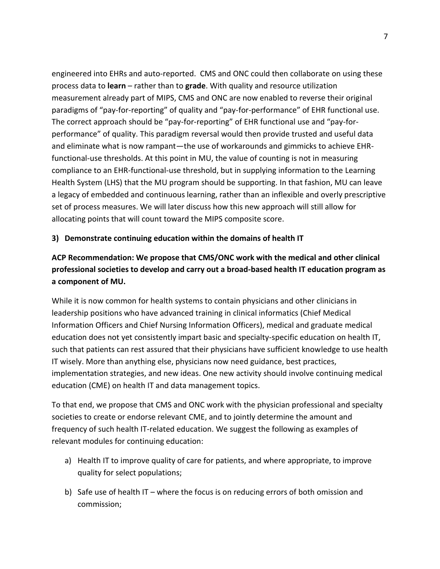engineered into EHRs and auto-reported. CMS and ONC could then collaborate on using these process data to **learn** – rather than to **grade**. With quality and resource utilization measurement already part of MIPS, CMS and ONC are now enabled to reverse their original paradigms of "pay-for-reporting" of quality and "pay-for-performance" of EHR functional use. The correct approach should be "pay-for-reporting" of EHR functional use and "pay-forperformance" of quality. This paradigm reversal would then provide trusted and useful data and eliminate what is now rampant—the use of workarounds and gimmicks to achieve EHRfunctional-use thresholds. At this point in MU, the value of counting is not in measuring compliance to an EHR-functional-use threshold, but in supplying information to the Learning Health System (LHS) that the MU program should be supporting. In that fashion, MU can leave a legacy of embedded and continuous learning, rather than an inflexible and overly prescriptive set of process measures. We will later discuss how this new approach will still allow for allocating points that will count toward the MIPS composite score.

## **3) Demonstrate continuing education within the domains of health IT**

# **ACP Recommendation: We propose that CMS/ONC work with the medical and other clinical professional societies to develop and carry out a broad-based health IT education program as a component of MU.**

While it is now common for health systems to contain physicians and other clinicians in leadership positions who have advanced training in clinical informatics (Chief Medical Information Officers and Chief Nursing Information Officers), medical and graduate medical education does not yet consistently impart basic and specialty-specific education on health IT, such that patients can rest assured that their physicians have sufficient knowledge to use health IT wisely. More than anything else, physicians now need guidance, best practices, implementation strategies, and new ideas. One new activity should involve continuing medical education (CME) on health IT and data management topics.

To that end, we propose that CMS and ONC work with the physician professional and specialty societies to create or endorse relevant CME, and to jointly determine the amount and frequency of such health IT-related education. We suggest the following as examples of relevant modules for continuing education:

- a) Health IT to improve quality of care for patients, and where appropriate, to improve quality for select populations;
- b) Safe use of health IT where the focus is on reducing errors of both omission and commission;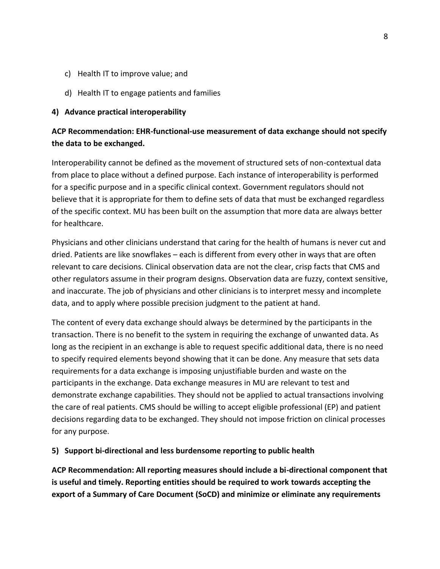- c) Health IT to improve value; and
- d) Health IT to engage patients and families

### **4) Advance practical interoperability**

# **ACP Recommendation: EHR-functional-use measurement of data exchange should not specify the data to be exchanged.**

Interoperability cannot be defined as the movement of structured sets of non-contextual data from place to place without a defined purpose. Each instance of interoperability is performed for a specific purpose and in a specific clinical context. Government regulators should not believe that it is appropriate for them to define sets of data that must be exchanged regardless of the specific context. MU has been built on the assumption that more data are always better for healthcare.

Physicians and other clinicians understand that caring for the health of humans is never cut and dried. Patients are like snowflakes – each is different from every other in ways that are often relevant to care decisions. Clinical observation data are not the clear, crisp facts that CMS and other regulators assume in their program designs. Observation data are fuzzy, context sensitive, and inaccurate. The job of physicians and other clinicians is to interpret messy and incomplete data, and to apply where possible precision judgment to the patient at hand.

The content of every data exchange should always be determined by the participants in the transaction. There is no benefit to the system in requiring the exchange of unwanted data. As long as the recipient in an exchange is able to request specific additional data, there is no need to specify required elements beyond showing that it can be done. Any measure that sets data requirements for a data exchange is imposing unjustifiable burden and waste on the participants in the exchange. Data exchange measures in MU are relevant to test and demonstrate exchange capabilities. They should not be applied to actual transactions involving the care of real patients. CMS should be willing to accept eligible professional (EP) and patient decisions regarding data to be exchanged. They should not impose friction on clinical processes for any purpose.

## **5) Support bi-directional and less burdensome reporting to public health**

**ACP Recommendation: All reporting measures should include a bi-directional component that is useful and timely. Reporting entities should be required to work towards accepting the export of a Summary of Care Document (SoCD) and minimize or eliminate any requirements**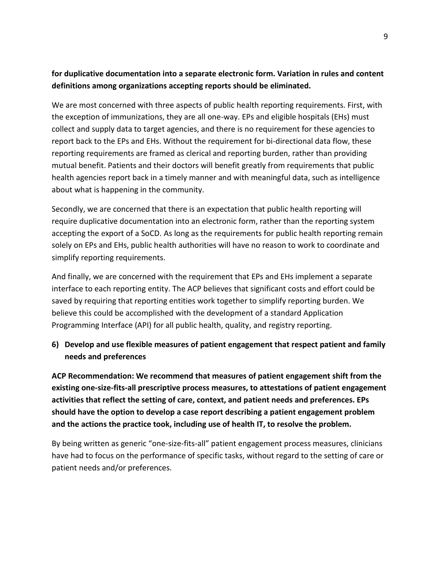# **for duplicative documentation into a separate electronic form. Variation in rules and content definitions among organizations accepting reports should be eliminated.**

We are most concerned with three aspects of public health reporting requirements. First, with the exception of immunizations, they are all one-way. EPs and eligible hospitals (EHs) must collect and supply data to target agencies, and there is no requirement for these agencies to report back to the EPs and EHs. Without the requirement for bi-directional data flow, these reporting requirements are framed as clerical and reporting burden, rather than providing mutual benefit. Patients and their doctors will benefit greatly from requirements that public health agencies report back in a timely manner and with meaningful data, such as intelligence about what is happening in the community.

Secondly, we are concerned that there is an expectation that public health reporting will require duplicative documentation into an electronic form, rather than the reporting system accepting the export of a SoCD. As long as the requirements for public health reporting remain solely on EPs and EHs, public health authorities will have no reason to work to coordinate and simplify reporting requirements.

And finally, we are concerned with the requirement that EPs and EHs implement a separate interface to each reporting entity. The ACP believes that significant costs and effort could be saved by requiring that reporting entities work together to simplify reporting burden. We believe this could be accomplished with the development of a standard Application Programming Interface (API) for all public health, quality, and registry reporting.

# **6) Develop and use flexible measures of patient engagement that respect patient and family needs and preferences**

**ACP Recommendation: We recommend that measures of patient engagement shift from the existing one-size-fits-all prescriptive process measures, to attestations of patient engagement activities that reflect the setting of care, context, and patient needs and preferences. EPs should have the option to develop a case report describing a patient engagement problem and the actions the practice took, including use of health IT, to resolve the problem.** 

By being written as generic "one-size-fits-all" patient engagement process measures, clinicians have had to focus on the performance of specific tasks, without regard to the setting of care or patient needs and/or preferences.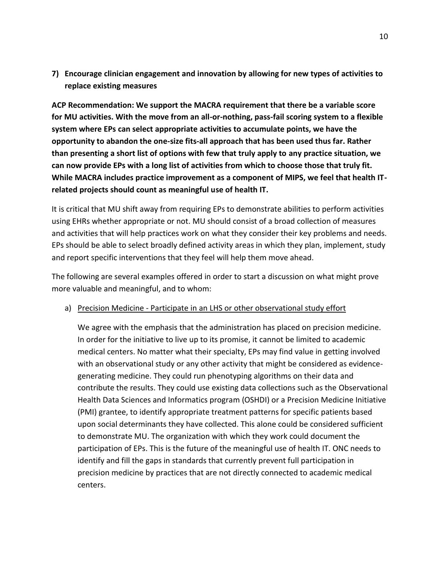**7) Encourage clinician engagement and innovation by allowing for new types of activities to replace existing measures**

**ACP Recommendation: We support the MACRA requirement that there be a variable score for MU activities. With the move from an all-or-nothing, pass-fail scoring system to a flexible system where EPs can select appropriate activities to accumulate points, we have the opportunity to abandon the one-size fits-all approach that has been used thus far. Rather than presenting a short list of options with few that truly apply to any practice situation, we can now provide EPs with a long list of activities from which to choose those that truly fit. While MACRA includes practice improvement as a component of MIPS, we feel that health ITrelated projects should count as meaningful use of health IT.**

It is critical that MU shift away from requiring EPs to demonstrate abilities to perform activities using EHRs whether appropriate or not. MU should consist of a broad collection of measures and activities that will help practices work on what they consider their key problems and needs. EPs should be able to select broadly defined activity areas in which they plan, implement, study and report specific interventions that they feel will help them move ahead.

The following are several examples offered in order to start a discussion on what might prove more valuable and meaningful, and to whom:

## a) Precision Medicine - Participate in an LHS or other observational study effort

We agree with the emphasis that the administration has placed on precision medicine. In order for the initiative to live up to its promise, it cannot be limited to academic medical centers. No matter what their specialty, EPs may find value in getting involved with an observational study or any other activity that might be considered as evidencegenerating medicine. They could run phenotyping algorithms on their data and contribute the results. They could use existing data collections such as the Observational Health Data Sciences and Informatics program (OSHDI) or a Precision Medicine Initiative (PMI) grantee, to identify appropriate treatment patterns for specific patients based upon social determinants they have collected. This alone could be considered sufficient to demonstrate MU. The organization with which they work could document the participation of EPs. This is the future of the meaningful use of health IT. ONC needs to identify and fill the gaps in standards that currently prevent full participation in precision medicine by practices that are not directly connected to academic medical centers.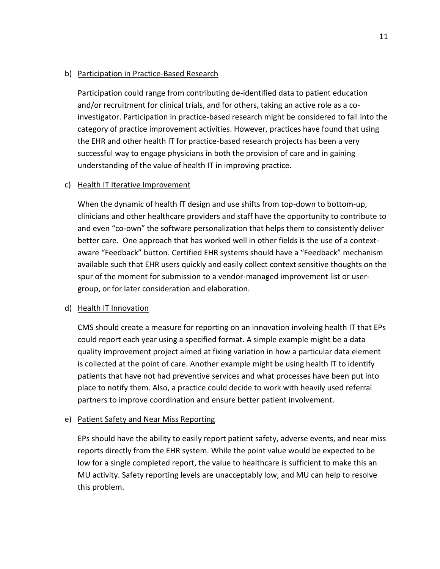### b) Participation in Practice-Based Research

Participation could range from contributing de-identified data to patient education and/or recruitment for clinical trials, and for others, taking an active role as a coinvestigator. Participation in practice-based research might be considered to fall into the category of practice improvement activities. However, practices have found that using the EHR and other health IT for practice-based research projects has been a very successful way to engage physicians in both the provision of care and in gaining understanding of the value of health IT in improving practice.

## c) Health IT Iterative Improvement

When the dynamic of health IT design and use shifts from top-down to bottom-up, clinicians and other healthcare providers and staff have the opportunity to contribute to and even "co-own" the software personalization that helps them to consistently deliver better care. One approach that has worked well in other fields is the use of a contextaware "Feedback" button. Certified EHR systems should have a "Feedback" mechanism available such that EHR users quickly and easily collect context sensitive thoughts on the spur of the moment for submission to a vendor-managed improvement list or usergroup, or for later consideration and elaboration.

## d) Health IT Innovation

CMS should create a measure for reporting on an innovation involving health IT that EPs could report each year using a specified format. A simple example might be a data quality improvement project aimed at fixing variation in how a particular data element is collected at the point of care. Another example might be using health IT to identify patients that have not had preventive services and what processes have been put into place to notify them. Also, a practice could decide to work with heavily used referral partners to improve coordination and ensure better patient involvement.

## e) Patient Safety and Near Miss Reporting

EPs should have the ability to easily report patient safety, adverse events, and near miss reports directly from the EHR system. While the point value would be expected to be low for a single completed report, the value to healthcare is sufficient to make this an MU activity. Safety reporting levels are unacceptably low, and MU can help to resolve this problem.